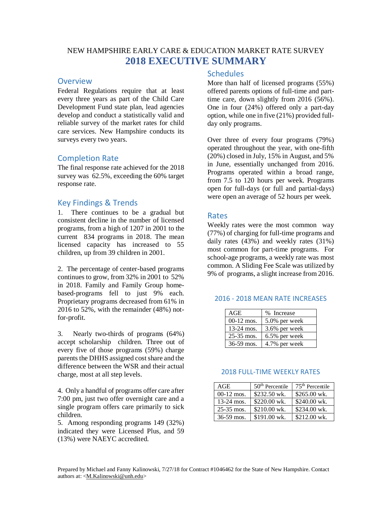## NEW HAMPSHIRE EARLY CARE & EDUCATION MARKET RATE SURVEY **2018 EXECUTIVE SUMMARY**

#### **Overview**

Federal Regulations require that at least every three years as part of the Child Care Development Fund state plan, lead agencies develop and conduct a statistically valid and reliable survey of the market rates for child care services. New Hampshire conducts its surveys every two years.

### Completion Rate

The final response rate achieved for the 2018 survey was 62.5%, exceeding the 60% target response rate.

### Key Findings & Trends

1. There continues to be a gradual but consistent decline in the number of licensed programs, from a high of 1207 in 2001 to the current 834 programs in 2018. The mean licensed capacity has increased to 55 children, up from 39 children in 2001.

2. The percentage of center-based programs continues to grow, from 32% in 2001 to 52% in 2018. Family and Family Group homebased-programs fell to just 9% each. Proprietary programs decreased from 61% in 2016 to 52%, with the remainder (48%) notfor-profit.

3. Nearly two-thirds of programs (64%) accept scholarship children. Three out of every five of those programs (59%) charge parents the DHHS assigned cost share and the difference between the WSR and their actual charge, most at all step levels.

4. Only a handful of programs offer care after 7:00 pm, just two offer overnight care and a single program offers care primarily to sick children.

5. Among responding programs 149 (32%) indicated they were Licensed Plus, and 59 (13%) were NAEYC accredited.

#### **Schedules**

More than half of licensed programs (55%) offered parents options of full-time and parttime care, down slightly from 2016 (56%). One in four (24%) offered only a part-day option, while one in five (21%) provided fullday only programs.

Over three of every four programs (79%) operated throughout the year, with one-fifth (20%) closed in July, 15% in August, and 5% in June, essentially unchanged from 2016. Programs operated within a broad range, from 7.5 to 120 hours per week. Programs open for full-days (or full and partial-days) were open an average of 52 hours per week.

#### Rates

Weekly rates were the most common way (77%) of charging for full-time programs and daily rates (43%) and weekly rates (31%) most common for part-time programs. For school-age programs, a weekly rate was most common. A Sliding Fee Scale was utilized by 9% of programs, a slight increase from 2016.

#### 2016 - 2018 MEAN RATE INCREASES

| AGE            | % Increase    |
|----------------|---------------|
| $00-12$ mos.   | 5.0% per week |
| $13-24$ mos.   | 3.6% per week |
| $25 - 35$ mos. | 6.5% per week |
| $36-59$ mos.   | 4.7% per week |

#### 2018 FULL-TIME WEEKLY RATES

| AGE          | $50th$ Percentile | $75th$ Percentile |
|--------------|-------------------|-------------------|
| $00-12$ mos. | \$232.50 wk.      | \$265.00 wk.      |
| 13-24 mos.   | \$220.00 wk.      | \$240.00 wk.      |
| 25-35 mos.   | \$210.00 wk.      | \$234.00 wk.      |
| 36-59 mos.   | \$191.00 wk.      | \$212.00 wk.      |